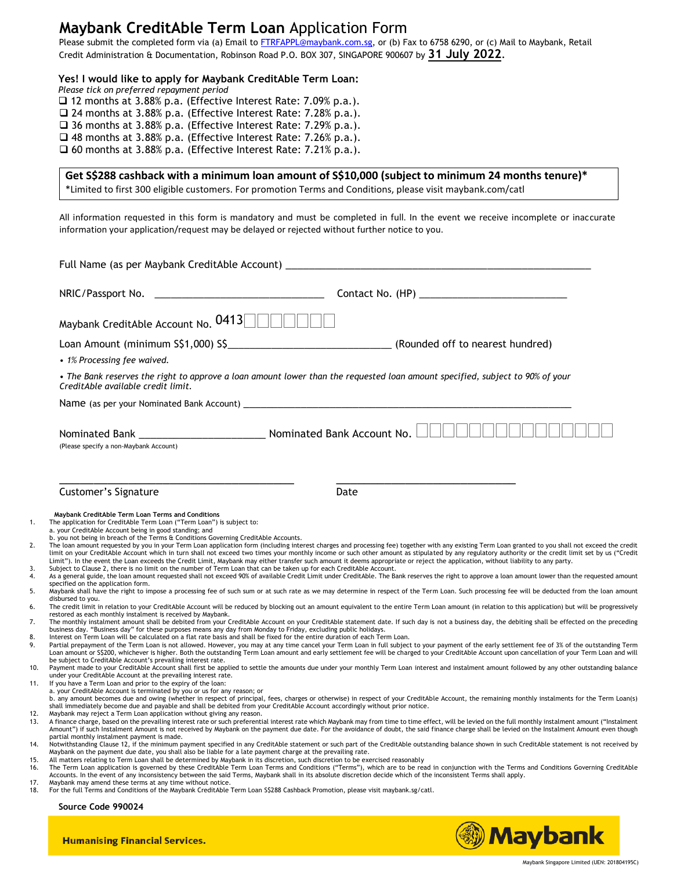## **Maybank CreditAble Term Loan** Application Form

Please submit the completed form via (a) Email to **FTRFAPPL@maybank.com.sg**, or (b) Fax to 6758 6290, or (c) Mail to Maybank, Retail Credit Administration & Documentation, Robinson Road P.O. BOX 307, SINGAPORE 900607 by **31 July 2022**.

## **Yes! I would like to apply for Maybank CreditAble Term Loan:**

*Please tick on preferred repayment period* □ 12 months at 3.88% p.a. (Effective Interest Rate: 7.09% p.a.). □ 24 months at 3.88% p.a. (Effective Interest Rate: 7.28% p.a.). 36 months at 3.88% p.a. (Effective Interest Rate: 7.29% p.a.). 48 months at 3.88% p.a. (Effective Interest Rate: 7.26% p.a.). □ 60 months at 3.88% p.a. (Effective Interest Rate: 7.21% p.a.).

**Get S\$288 cashback with a minimum loan amount of S\$10,000 (subject to minimum 24 months tenure)\*** \*Limited to first 300 eligible customers. For promotion Terms and Conditions, please visit maybank.com/catl

All information requested in this form is mandatory and must be completed in full. In the event we receive incomplete or inaccurate information your application/request may be delayed or rejected without further notice to you.

|                                                                                                                                                                                                                                                                                                                                                                                                                                                                                                                                                                                                                                                                                                                                                                                                                                                                                                                                                                                                                                                                                                                                                                                                                                                                                        | Contact No. (HP) ______________________________                                                                                                                                                                                                                                                                                                                                                                                                                                                                                                                                                                                                                                                                                                                                                                                                                                                                                                                                                                                                                                                                                                                                                                                                                                                                                                                                                                                                                                                                                                                                                                                                                                                                                                                                                                                                                                                                                                                                                                                                                                                                                                                                                                                                                                                                                                                                                                                                       |  |
|----------------------------------------------------------------------------------------------------------------------------------------------------------------------------------------------------------------------------------------------------------------------------------------------------------------------------------------------------------------------------------------------------------------------------------------------------------------------------------------------------------------------------------------------------------------------------------------------------------------------------------------------------------------------------------------------------------------------------------------------------------------------------------------------------------------------------------------------------------------------------------------------------------------------------------------------------------------------------------------------------------------------------------------------------------------------------------------------------------------------------------------------------------------------------------------------------------------------------------------------------------------------------------------|-------------------------------------------------------------------------------------------------------------------------------------------------------------------------------------------------------------------------------------------------------------------------------------------------------------------------------------------------------------------------------------------------------------------------------------------------------------------------------------------------------------------------------------------------------------------------------------------------------------------------------------------------------------------------------------------------------------------------------------------------------------------------------------------------------------------------------------------------------------------------------------------------------------------------------------------------------------------------------------------------------------------------------------------------------------------------------------------------------------------------------------------------------------------------------------------------------------------------------------------------------------------------------------------------------------------------------------------------------------------------------------------------------------------------------------------------------------------------------------------------------------------------------------------------------------------------------------------------------------------------------------------------------------------------------------------------------------------------------------------------------------------------------------------------------------------------------------------------------------------------------------------------------------------------------------------------------------------------------------------------------------------------------------------------------------------------------------------------------------------------------------------------------------------------------------------------------------------------------------------------------------------------------------------------------------------------------------------------------------------------------------------------------------------------------------------------------|--|
| Maybank CreditAble Account No. 0413                                                                                                                                                                                                                                                                                                                                                                                                                                                                                                                                                                                                                                                                                                                                                                                                                                                                                                                                                                                                                                                                                                                                                                                                                                                    |                                                                                                                                                                                                                                                                                                                                                                                                                                                                                                                                                                                                                                                                                                                                                                                                                                                                                                                                                                                                                                                                                                                                                                                                                                                                                                                                                                                                                                                                                                                                                                                                                                                                                                                                                                                                                                                                                                                                                                                                                                                                                                                                                                                                                                                                                                                                                                                                                                                       |  |
|                                                                                                                                                                                                                                                                                                                                                                                                                                                                                                                                                                                                                                                                                                                                                                                                                                                                                                                                                                                                                                                                                                                                                                                                                                                                                        |                                                                                                                                                                                                                                                                                                                                                                                                                                                                                                                                                                                                                                                                                                                                                                                                                                                                                                                                                                                                                                                                                                                                                                                                                                                                                                                                                                                                                                                                                                                                                                                                                                                                                                                                                                                                                                                                                                                                                                                                                                                                                                                                                                                                                                                                                                                                                                                                                                                       |  |
| • 1% Processing fee waived.                                                                                                                                                                                                                                                                                                                                                                                                                                                                                                                                                                                                                                                                                                                                                                                                                                                                                                                                                                                                                                                                                                                                                                                                                                                            |                                                                                                                                                                                                                                                                                                                                                                                                                                                                                                                                                                                                                                                                                                                                                                                                                                                                                                                                                                                                                                                                                                                                                                                                                                                                                                                                                                                                                                                                                                                                                                                                                                                                                                                                                                                                                                                                                                                                                                                                                                                                                                                                                                                                                                                                                                                                                                                                                                                       |  |
| CreditAble available credit limit.                                                                                                                                                                                                                                                                                                                                                                                                                                                                                                                                                                                                                                                                                                                                                                                                                                                                                                                                                                                                                                                                                                                                                                                                                                                     | • The Bank reserves the right to approve a loan amount lower than the requested loan amount specified, subject to 90% of your                                                                                                                                                                                                                                                                                                                                                                                                                                                                                                                                                                                                                                                                                                                                                                                                                                                                                                                                                                                                                                                                                                                                                                                                                                                                                                                                                                                                                                                                                                                                                                                                                                                                                                                                                                                                                                                                                                                                                                                                                                                                                                                                                                                                                                                                                                                         |  |
|                                                                                                                                                                                                                                                                                                                                                                                                                                                                                                                                                                                                                                                                                                                                                                                                                                                                                                                                                                                                                                                                                                                                                                                                                                                                                        |                                                                                                                                                                                                                                                                                                                                                                                                                                                                                                                                                                                                                                                                                                                                                                                                                                                                                                                                                                                                                                                                                                                                                                                                                                                                                                                                                                                                                                                                                                                                                                                                                                                                                                                                                                                                                                                                                                                                                                                                                                                                                                                                                                                                                                                                                                                                                                                                                                                       |  |
| (Please specify a non-Maybank Account)                                                                                                                                                                                                                                                                                                                                                                                                                                                                                                                                                                                                                                                                                                                                                                                                                                                                                                                                                                                                                                                                                                                                                                                                                                                 |                                                                                                                                                                                                                                                                                                                                                                                                                                                                                                                                                                                                                                                                                                                                                                                                                                                                                                                                                                                                                                                                                                                                                                                                                                                                                                                                                                                                                                                                                                                                                                                                                                                                                                                                                                                                                                                                                                                                                                                                                                                                                                                                                                                                                                                                                                                                                                                                                                                       |  |
|                                                                                                                                                                                                                                                                                                                                                                                                                                                                                                                                                                                                                                                                                                                                                                                                                                                                                                                                                                                                                                                                                                                                                                                                                                                                                        |                                                                                                                                                                                                                                                                                                                                                                                                                                                                                                                                                                                                                                                                                                                                                                                                                                                                                                                                                                                                                                                                                                                                                                                                                                                                                                                                                                                                                                                                                                                                                                                                                                                                                                                                                                                                                                                                                                                                                                                                                                                                                                                                                                                                                                                                                                                                                                                                                                                       |  |
| Customer's Signature<br>Maybank CreditAble Term Loan Terms and Conditions<br>The application for CreditAble Term Loan ("Term Loan") is subject to:<br>a. your CreditAble Account being in good standing; and<br>b. you not being in breach of the Terms & Conditions Governing CreditAble Accounts.                                                                                                                                                                                                                                                                                                                                                                                                                                                                                                                                                                                                                                                                                                                                                                                                                                                                                                                                                                                    | Date<br>The loan amount requested by you in your Term Loan application form (including interest charges and processing fee) together with any existing Term Loan granted to you shall not exceed the credit<br>limit on your CreditAble Account which in turn shall not exceed two times your monthly income or such other amount as stipulated by any regulatory authority or the credit limit set by us ("Credit<br>Limit"). In the event the Loan exceeds the Credit Limit, Maybank may either transfer such amount it deems appropriate or reject the application, without liability to any party.                                                                                                                                                                                                                                                                                                                                                                                                                                                                                                                                                                                                                                                                                                                                                                                                                                                                                                                                                                                                                                                                                                                                                                                                                                                                                                                                                                                                                                                                                                                                                                                                                                                                                                                                                                                                                                                |  |
| Subject to Clause 2, there is no limit on the number of Term Loan that can be taken up for each CreditAble Account.<br>specified on the application form.<br>disbursed to you.<br>restored as each monthly instalment is received by Maybank.<br>business day. "Business day" for these purposes means any day from Monday to Friday, excluding public holidays.<br>Interest on Term Loan will be calculated on a flat rate basis and shall be fixed for the entire duration of each Term Loan.<br>be subject to CreditAble Account's prevailing interest rate.<br>under your CreditAble Account at the prevailing interest rate.<br>If you have a Term Loan and prior to the expiry of the loan:<br>a. your CreditAble Account is terminated by you or us for any reason; or<br>shall immediately become due and payable and shall be debited from your CreditAble Account accordingly without prior notice.<br>Maybank may reject a Term Loan application without giving any reason.<br>partial monthly instalment payment is made.<br>Maybank on the payment due date, you shall also be liable for a late payment charge at the prevailing rate.<br>All matters relating to Term Loan shall be determined by Maybank in its discretion, such discretion to be exercised reasonably | As a general guide, the loan amount requested shall not exceed 90% of available Credit Limit under CreditAble. The Bank reserves the right to approve a loan amount lower than the requested amount<br>Maybank shall have the right to impose a processing fee of such sum or at such rate as we may determine in respect of the Term Loan. Such processing fee will be deducted from the loan amount<br>The credit limit in relation to your CreditAble Account will be reduced by blocking out an amount equivalent to the entire Term Loan amount (in relation to this application) but will be progressively<br>The monthly instalment amount shall be debited from your CreditAble Account on your CreditAble statement date. If such day is not a business day, the debiting shall be effected on the preceding<br>Partial prepayment of the Term Loan is not allowed. However, you may at any time cancel your Term Loan in full subject to your payment of the early settlement fee of 3% of the outstanding Term<br>Loan amount or S\$200, whichever is higher. Both the outstanding Term Loan amount and early settlement fee will be charged to your CreditAble Account upon cancellation of your Term Loan and will<br>Payment made to your CreditAble Account shall first be applied to settle the amounts due under your monthly Term Loan interest and instalment amount followed by any other outstanding balance<br>b. any amount becomes due and owing (whether in respect of principal, fees, charges or otherwise) in respect of your CreditAble Account, the remaining monthly instalments for the Term Loan(s)<br>A finance charge, based on the prevailing interest rate or such preferential interest rate which Maybank may from time to time effect, will be levied on the full monthly instalment amount ("Instalment<br>Amount") if such Instalment Amount is not received by Maybank on the payment due date. For the avoidance of doubt, the said finance charge shall be levied on the Instalment Amount even though<br>Notwithstanding Clause 12, if the minimum payment specified in any CreditAble statement or such part of the CreditAble outstanding balance shown in such CreditAble statement is not received by<br>The Term Loan application is governed by these CreditAble Term Loan Terms and Conditions ("Terms"), which are to be read in conjunction with the Terms and Conditions Governing CreditAble |  |

**Humanising Financial Services.** 



Maybank Singapore Limited (UEN: 201804195C)